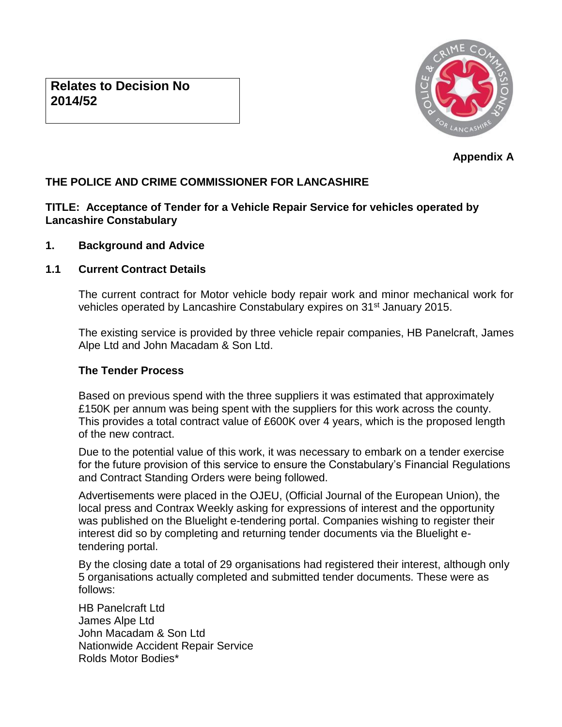

**Appendix A** 

# **THE POLICE AND CRIME COMMISSIONER FOR LANCASHIRE**

# **TITLE: Acceptance of Tender for a Vehicle Repair Service for vehicles operated by Lancashire Constabulary**

## **1. Background and Advice**

# **1.1 Current Contract Details**

The current contract for Motor vehicle body repair work and minor mechanical work for vehicles operated by Lancashire Constabulary expires on 31<sup>st</sup> January 2015.

The existing service is provided by three vehicle repair companies, HB Panelcraft, James Alpe Ltd and John Macadam & Son Ltd.

## **The Tender Process**

Based on previous spend with the three suppliers it was estimated that approximately £150K per annum was being spent with the suppliers for this work across the county. This provides a total contract value of £600K over 4 years, which is the proposed length of the new contract.

Due to the potential value of this work, it was necessary to embark on a tender exercise for the future provision of this service to ensure the Constabulary's Financial Regulations and Contract Standing Orders were being followed.

Advertisements were placed in the OJEU, (Official Journal of the European Union), the local press and Contrax Weekly asking for expressions of interest and the opportunity was published on the Bluelight e-tendering portal. Companies wishing to register their interest did so by completing and returning tender documents via the Bluelight etendering portal.

By the closing date a total of 29 organisations had registered their interest, although only 5 organisations actually completed and submitted tender documents. These were as follows:

HB Panelcraft Ltd James Alpe Ltd John Macadam & Son Ltd Nationwide Accident Repair Service Rolds Motor Bodies\*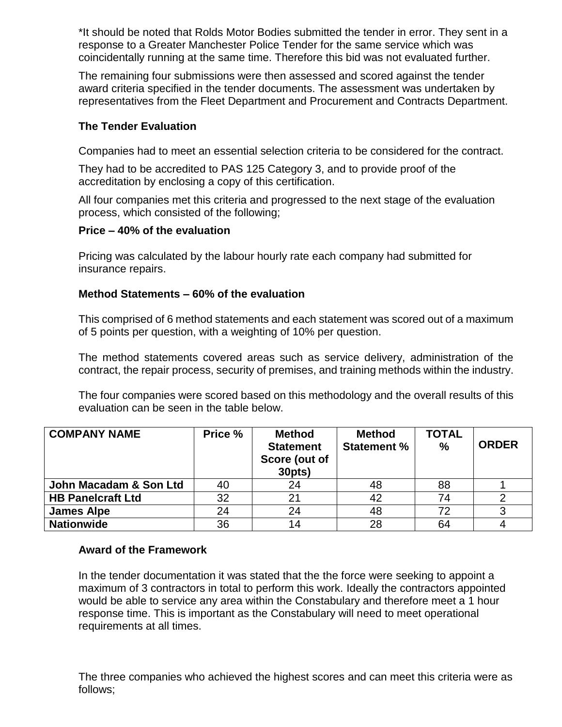\*It should be noted that Rolds Motor Bodies submitted the tender in error. They sent in a response to a Greater Manchester Police Tender for the same service which was coincidentally running at the same time. Therefore this bid was not evaluated further.

The remaining four submissions were then assessed and scored against the tender award criteria specified in the tender documents. The assessment was undertaken by representatives from the Fleet Department and Procurement and Contracts Department.

# **The Tender Evaluation**

Companies had to meet an essential selection criteria to be considered for the contract.

They had to be accredited to PAS 125 Category 3, and to provide proof of the accreditation by enclosing a copy of this certification.

All four companies met this criteria and progressed to the next stage of the evaluation process, which consisted of the following;

## **Price – 40% of the evaluation**

Pricing was calculated by the labour hourly rate each company had submitted for insurance repairs.

## **Method Statements – 60% of the evaluation**

This comprised of 6 method statements and each statement was scored out of a maximum of 5 points per question, with a weighting of 10% per question.

The method statements covered areas such as service delivery, administration of the contract, the repair process, security of premises, and training methods within the industry.

The four companies were scored based on this methodology and the overall results of this evaluation can be seen in the table below.

| <b>COMPANY NAME</b>      | Price % | <b>Method</b><br><b>Statement</b><br>Score (out of<br>30pts) | <b>Method</b><br><b>Statement %</b> | <b>TOTAL</b><br>$\%$ | <b>ORDER</b> |
|--------------------------|---------|--------------------------------------------------------------|-------------------------------------|----------------------|--------------|
| John Macadam & Son Ltd   | 40      | 24                                                           | 48                                  | 88                   |              |
| <b>HB Panelcraft Ltd</b> | 32      | 21                                                           | 42                                  | 74                   |              |
| <b>James Alpe</b>        | 24      | 24                                                           | 48                                  | 72                   |              |
| <b>Nationwide</b>        | 36      | 14                                                           | 28                                  | 64                   |              |

## **Award of the Framework**

In the tender documentation it was stated that the the force were seeking to appoint a maximum of 3 contractors in total to perform this work. Ideally the contractors appointed would be able to service any area within the Constabulary and therefore meet a 1 hour response time. This is important as the Constabulary will need to meet operational requirements at all times.

The three companies who achieved the highest scores and can meet this criteria were as follows;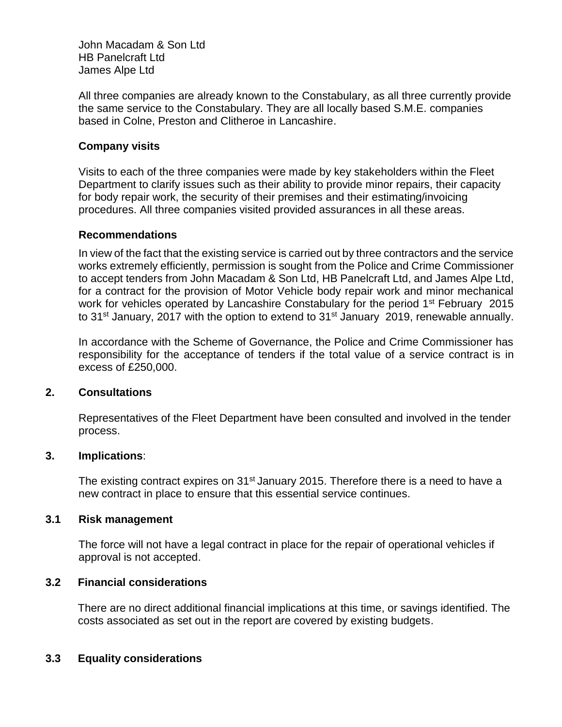John Macadam & Son Ltd HB Panelcraft Ltd James Alpe Ltd

All three companies are already known to the Constabulary, as all three currently provide the same service to the Constabulary. They are all locally based S.M.E. companies based in Colne, Preston and Clitheroe in Lancashire.

## **Company visits**

Visits to each of the three companies were made by key stakeholders within the Fleet Department to clarify issues such as their ability to provide minor repairs, their capacity for body repair work, the security of their premises and their estimating/invoicing procedures. All three companies visited provided assurances in all these areas.

#### **Recommendations**

In view of the fact that the existing service is carried out by three contractors and the service works extremely efficiently, permission is sought from the Police and Crime Commissioner to accept tenders from John Macadam & Son Ltd, HB Panelcraft Ltd, and James Alpe Ltd, for a contract for the provision of Motor Vehicle body repair work and minor mechanical work for vehicles operated by Lancashire Constabulary for the period  $1<sup>st</sup>$  February 2015 to 31<sup>st</sup> January, 2017 with the option to extend to 31<sup>st</sup> January 2019, renewable annually.

In accordance with the Scheme of Governance, the Police and Crime Commissioner has responsibility for the acceptance of tenders if the total value of a service contract is in excess of £250,000.

#### **2. Consultations**

Representatives of the Fleet Department have been consulted and involved in the tender process.

#### **3. Implications**:

The existing contract expires on 31<sup>st</sup> January 2015. Therefore there is a need to have a new contract in place to ensure that this essential service continues.

#### **3.1 Risk management**

The force will not have a legal contract in place for the repair of operational vehicles if approval is not accepted.

#### **3.2 Financial considerations**

There are no direct additional financial implications at this time, or savings identified. The costs associated as set out in the report are covered by existing budgets.

#### **3.3 Equality considerations**